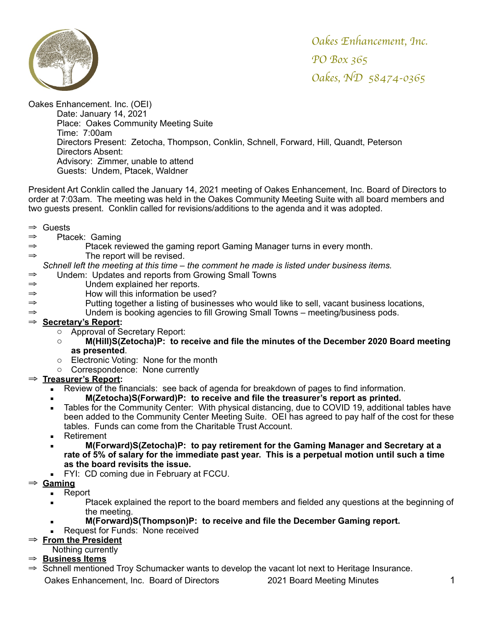

Oakes Enhancement. Inc. (OEI) Date: January 14, 2021 Place: Oakes Community Meeting Suite Time: 7:00am Directors Present: Zetocha, Thompson, Conklin, Schnell, Forward, Hill, Quandt, Peterson Directors Absent: Advisory: Zimmer, unable to attend Guests: Undem, Ptacek, Waldner

President Art Conklin called the January 14, 2021 meeting of Oakes Enhancement, Inc. Board of Directors to order at 7:03am. The meeting was held in the Oakes Community Meeting Suite with all board members and two guests present. Conklin called for revisions/additions to the agenda and it was adopted.

- ⇒ Guests
- ⇒ Ptacek: Gaming
- ⇒ Ptacek reviewed the gaming report Gaming Manager turns in every month.
- ⇒ The report will be revised.

*Schnell left the meeting at this time – the comment he made is listed under business items.*

- ⇒ Undem: Updates and reports from Growing Small Towns
- ⇒ Undem explained her reports.
- How will this information be used?
- ⇒ Putting together a listing of businesses who would like to sell, vacant business locations,
- ⇒ Undem is booking agencies to fill Growing Small Towns meeting/business pods.

### ⇒ **Secretary's Report:**

- o Approval of Secretary Report:
- o **M(Hill)S(Zetocha)P: to receive and file the minutes of the December 2020 Board meeting as presented**.
- o Electronic Voting: None for the month
- o Correspondence: None currently

### ⇒ **Treasurer's Report:**

- **EXECT** Review of the financials: see back of agenda for breakdown of pages to find information.
	- **M(Zetocha)S(Forward)P: to receive and file the treasurer's report as printed.**
- Tables for the Community Center: With physical distancing, due to COVID 19, additional tables have been added to the Community Center Meeting Suite. OEI has agreed to pay half of the cost for these tables. Funds can come from the Charitable Trust Account.
- Retirement
- **M(Forward)S(Zetocha)P: to pay retirement for the Gaming Manager and Secretary at a rate of 5% of salary for the immediate past year. This is a perpetual motion until such a time as the board revisits the issue.**
- FYI: CD coming due in February at FCCU.
- ⇒ **Gaming**
	- Report
	- **EXECT:** Ptacek explained the report to the board members and fielded any questions at the beginning of the meeting.
	- **M(Forward)S(Thompson)P: to receive and file the December Gaming report.**
	- Request for Funds: None received

### ⇒ **From the President**

- Nothing currently
- ⇒ **Business Items**
- ⇒ Schnell mentioned Troy Schumacker wants to develop the vacant lot next to Heritage Insurance. Oakes Enhancement, Inc. Board of Directors 2021 Board Meeting Minutes 1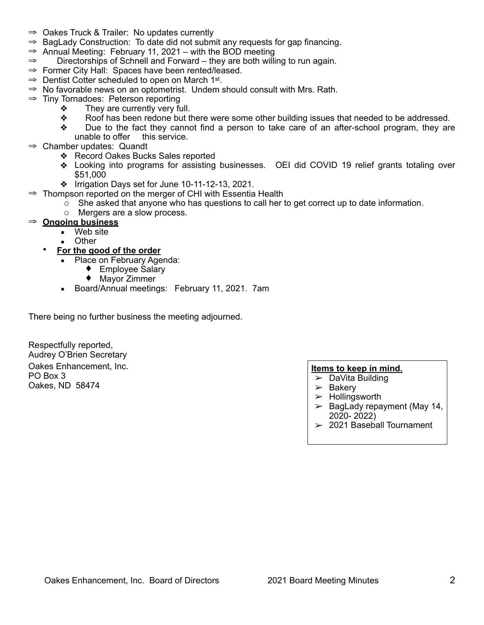- ⇒ Oakes Truck & Trailer: No updates currently
- $\Rightarrow$  BagLady Construction: To date did not submit any requests for gap financing.
- $\Rightarrow$  Annual Meeting: February 11, 2021 with the BOD meeting
- ⇒ Directorships of Schnell and Forward they are both willing to run again.
- ⇒ Former City Hall: Spaces have been rented/leased.
- ⇒ Dentist Cotter scheduled to open on March 1st.
- $\Rightarrow$  No favorable news on an optometrist. Undem should consult with Mrs. Rath.
- ⇒ Tiny Tornadoes: Peterson reporting
	- ❖ They are currently very full.
	- ❖ Roof has been redone but there were some other building issues that needed to be addressed.
	- ❖ Due to the fact they cannot find a person to take care of an after-school program, they are unable to offer this service.
- ⇒ Chamber updates: Quandt
	- ❖ Record Oakes Bucks Sales reported
	- ❖ Looking into programs for assisting businesses. OEI did COVID 19 relief grants totaling over \$51,000
	- ❖ Irrigation Days set for June 10-11-12-13, 2021.
- ⇒ Thompson reported on the merger of CHI with Essentia Health
	- $\circ$  She asked that anyone who has questions to call her to get correct up to date information.
	- o Mergers are a slow process.
- ⇒ **Ongoing business**
	- Web site
	- Other
	- **For the good of the order**
		- **Place on February Agenda:** 
			- ♦ Employee Salary
			- ♦ Mayor Zimmer
		- **Board/Annual meetings: February 11, 2021. 7am**

There being no further business the meeting adjourned.

Respectfully reported, Audrey O'Brien Secretary Oakes Enhancement, Inc. PO Box 3 Oakes, ND 58474

## **Items to keep in mind.**

- $\triangleright$  DaVita Building
- $\triangleright$  Bakery
- $\blacktriangleright$  Hollingsworth
- $\geq$  BagLady repayment (May 14, 2020- 2022)
- $>$  2021 Baseball Tournament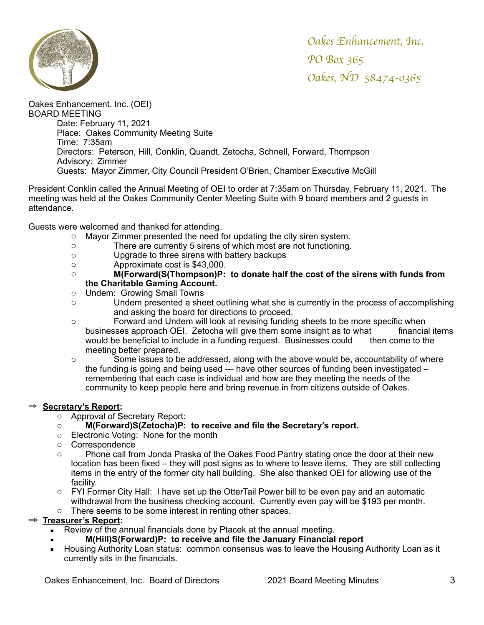

Oakes Enhancement. Inc. (OEI) BOARD MEETING Date: February 11, 2021 Place: Oakes Community Meeting Suite Time: 7:35am Directors: Peterson, Hill, Conklin, Quandt, Zetocha, Schnell, Forward, Thompson Advisory: Zimmer Guests: Mayor Zimmer, City Council President O'Brien, Chamber Executive McGill

President Conklin called the Annual Meeting of OEI to order at 7:35am on Thursday, February 11, 2021. The meeting was held at the Oakes Community Center Meeting Suite with 9 board members and 2 guests in attendance.

Guests were welcomed and thanked for attending.

- o Mayor Zimmer presented the need for updating the city siren system.
- o There are currently 5 sirens of which most are not functioning.
- o Upgrade to three sirens with battery backups
- o Approximate cost is \$43,000.
- o **M(Forward(S(Thompson)P: to donate half the cost of the sirens with funds from the Charitable Gaming Account.**
- o Undem: Growing Small Towns
- o Undem presented a sheet outlining what she is currently in the process of accomplishing and asking the board for directions to proceed.
- o Forward and Undem will look at revising funding sheets to be more specific when businesses approach OEI. Zetocha will give them some insight as to what financial items would be beneficial to include in a funding request. Businesses could then come to the meeting better prepared.
- o Some issues to be addressed, along with the above would be, accountability of where the funding is going and being used --- have other sources of funding been investigated – remembering that each case is individual and how are they meeting the needs of the community to keep people here and bring revenue in from citizens outside of Oakes.

### ⇒ **Secretary's Report:**

- o Approval of Secretary Report:
- o **M(Forward)S(Zetocha)P: to receive and file the Secretary's report.**
- o Electronic Voting: None for the month
- o Correspondence
- o Phone call from Jonda Praska of the Oakes Food Pantry stating once the door at their new location has been fixed – they will post signs as to where to leave items. They are still collecting items in the entry of the former city hall building. She also thanked OEI for allowing use of the facility.
- o FYI Former City Hall: I have set up the OtterTail Power bill to be even pay and an automatic withdrawal from the business checking account. Currently even pay will be \$193 per month.
- o There seems to be some interest in renting other spaces.

### ⇒ **Treasurer's Report:**

- Review of the annual financials done by Ptacek at the annual meeting.
	- **M(Hill)S(Forward)P: to receive and file the January Financial report**
- Housing Authority Loan status: common consensus was to leave the Housing Authority Loan as it currently sits in the financials.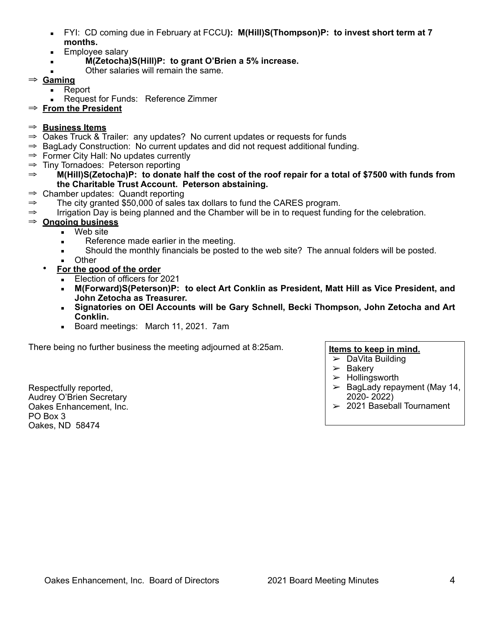- FYI: CD coming due in February at FCCU**): M(Hill)S(Thompson)P: to invest short term at 7 months.**
- **Employee salary**
- $M(Zetocha)S(Hill)P:$  to grant O'Brien a 5% increase.
- Other salaries will remain the same.
- ⇒ **Gaming**
	- Report
		- Request for Funds: Reference Zimmer
- ⇒ **From the President**

## ⇒ **Business Items**

- ⇒ Oakes Truck & Trailer: any updates? No current updates or requests for funds
- ⇒ BagLady Construction: No current updates and did not request additional funding.
- $\Rightarrow$  Former City Hall: No updates currently
- ⇒ Tiny Tornadoes: Peterson reporting
- ⇒ **M(Hill)S(Zetocha)P: to donate half the cost of the roof repair for a total of \$7500 with funds from the Charitable Trust Account. Peterson abstaining.**
- ⇒ Chamber updates: Quandt reporting
- $\Rightarrow$  The city granted \$50,000 of sales tax dollars to fund the CARES program.
- ⇒ Irrigation Day is being planned and the Chamber will be in to request funding for the celebration.

## ⇒ **Ongoing business**

- Web site
- Reference made earlier in the meeting.
- **EXECT** Should the monthly financials be posted to the web site? The annual folders will be posted.
- Other
- **For the good of the order**
	- **Election of officers for 2021**
	- **M(Forward)S(Peterson)P: to elect Art Conklin as President, Matt Hill as Vice President, and John Zetocha as Treasurer.**
	- **Signatories on OEI Accounts will be Gary Schnell, Becki Thompson, John Zetocha and Art Conklin.**
	- Board meetings: March 11, 2021. 7am

There being no further business the meeting adjourned at 8:25am.

Respectfully reported, Audrey O'Brien Secretary Oakes Enhancement, Inc. PO Box 3 Oakes, ND 58474

### **Items to keep in mind.**

- ➢ DaVita Building
	- $>$  Bakery
	- $>$  Hollingsworth
	- $\triangleright$  BagLady repayment (May 14, 2020- 2022)
	- $>$  2021 Baseball Tournament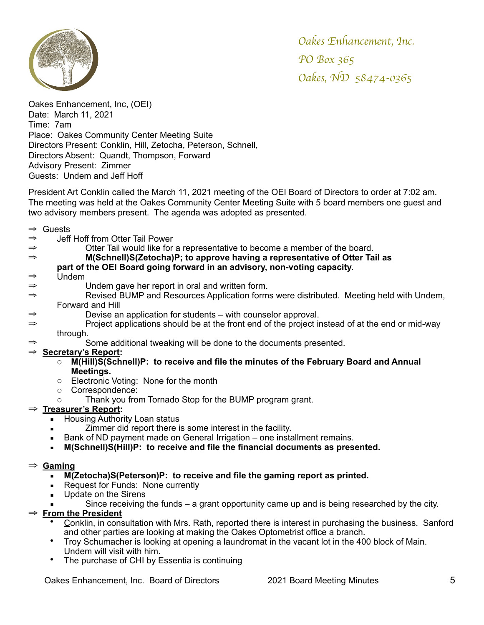

Oakes Enhancement, Inc, (OEI) Date: March 11, 2021 Time: 7am Place: Oakes Community Center Meeting Suite Directors Present: Conklin, Hill, Zetocha, Peterson, Schnell, Directors Absent: Quandt, Thompson, Forward Advisory Present: Zimmer Guests: Undem and Jeff Hoff

President Art Conklin called the March 11, 2021 meeting of the OEI Board of Directors to order at 7:02 am. The meeting was held at the Oakes Community Center Meeting Suite with 5 board members one guest and two advisory members present. The agenda was adopted as presented.

- ⇒ Guests
- ⇒ Jeff Hoff from Otter Tail Power
- ⇒ Otter Tail would like for a representative to become a member of the board.
- ⇒ **M(Schnell)S(Zetocha)P; to approve having a representative of Otter Tail as**

### **part of the OEI Board going forward in an advisory, non-voting capacity.**

- ⇒ Undem
- ⇒ Undem gave her report in oral and written form.
- Revised BUMP and Resources Application forms were distributed. Meeting held with Undem, Forward and Hill
- ⇒ Devise an application for students with counselor approval.
- ⇒ Project applications should be at the front end of the project instead of at the end or mid-way through.
- ⇒ Some additional tweaking will be done to the documents presented.

### ⇒ **Secretary's Report:**

- o **M(Hill)S(Schnell)P: to receive and file the minutes of the February Board and Annual Meetings.**
- o Electronic Voting: None for the month
- o Correspondence:
	- o Thank you from Tornado Stop for the BUMP program grant.
- ⇒ **Treasurer's Report:** 
	- **E** Housing Authority Loan status
	- Zimmer did report there is some interest in the facility.
	- **EXEL** Bank of ND payment made on General Irrigation one installment remains.
	- **M(Schnell)S(Hill)P: to receive and file the financial documents as presented.**

#### ⇒ **Gaming**

- **M(Zetocha)S(Peterson)P: to receive and file the gaming report as printed.**
- Request for Funds: None currently
- **■** Update on the Sirens
	- Since receiving the funds  $-$  a grant opportunity came up and is being researched by the city.

## ⇒ **From the President**

- Conklin, in consultation with Mrs. Rath, reported there is interest in purchasing the business. Sanford and other parties are looking at making the Oakes Optometrist office a branch.
- Troy Schumacher is looking at opening a laundromat in the vacant lot in the 400 block of Main. Undem will visit with him.
- The purchase of CHI by Essentia is continuing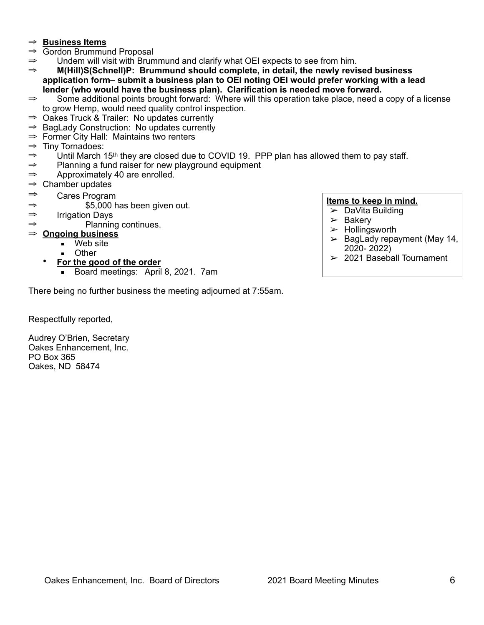### ⇒ **Business Items**

- ⇒ Gordon Brummund Proposal
- ⇒ Undem will visit with Brummund and clarify what OEI expects to see from him.
- ⇒ **M(Hill)S(Schnell)P: Brummund should complete, in detail, the newly revised business application form– submit a business plan to OEI noting OEI would prefer working with a lead lender (who would have the business plan). Clarification is needed move forward.**
- ⇒ Some additional points brought forward: Where will this operation take place, need a copy of a license to grow Hemp, would need quality control inspection.
- ⇒ Oakes Truck & Trailer: No updates currently
- ⇒ BagLady Construction: No updates currently
- ⇒ Former City Hall: Maintains two renters
- ⇒ Tiny Tornadoes:
- ⇒ Until March 15th they are closed due to COVID 19. PPP plan has allowed them to pay staff.
- ⇒ Planning a fund raiser for new playground equipment
- ⇒ Approximately 40 are enrolled.
- $\Rightarrow$  Chamber updates
- ⇒ Cares Program
- $\Rightarrow$  \$5,000 has been given out.
- ⇒ Irrigation Days
- ⇒ Planning continues.

## ⇒ **Ongoing business**

- Web site
- **D**ther
- **For the good of the order**
	- **Board meetings: April 8, 2021. 7am**

There being no further business the meeting adjourned at 7:55am.

### **Items to keep in mind.**

- $\triangleright$  DaVita Building
- $\blacktriangleright$  Bakery
- $\blacktriangleright$  Hollingsworth
- $\geq$  BagLady repayment (May 14, 2020- 2022)
- $>$  2021 Baseball Tournament

Respectfully reported,

Audrey O'Brien, Secretary Oakes Enhancement, Inc. PO Box 365 Oakes, ND 58474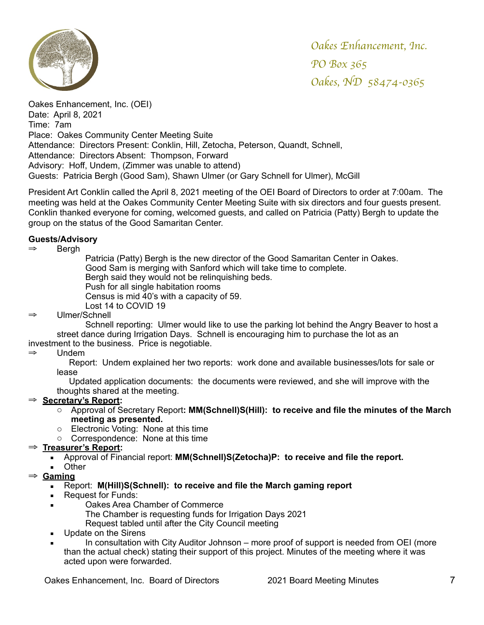

Oakes Enhancement, Inc. (OEI) Date: April 8, 2021 Time: 7am Place: Oakes Community Center Meeting Suite Attendance: Directors Present: Conklin, Hill, Zetocha, Peterson, Quandt, Schnell, Attendance: Directors Absent: Thompson, Forward Advisory: Hoff, Undem, (Zimmer was unable to attend) Guests: Patricia Bergh (Good Sam), Shawn Ulmer (or Gary Schnell for Ulmer), McGill

President Art Conklin called the April 8, 2021 meeting of the OEI Board of Directors to order at 7:00am. The meeting was held at the Oakes Community Center Meeting Suite with six directors and four guests present. Conklin thanked everyone for coming, welcomed guests, and called on Patricia (Patty) Bergh to update the group on the status of the Good Samaritan Center.

### **Guests/Advisory**

⇒ Bergh

Patricia (Patty) Bergh is the new director of the Good Samaritan Center in Oakes. Good Sam is merging with Sanford which will take time to complete. Bergh said they would not be relinquishing beds. Push for all single habitation rooms Census is mid 40's with a capacity of 59. Lost 14 to COVID 19

### ⇒ Ulmer/Schnell

Schnell reporting: Ulmer would like to use the parking lot behind the Angry Beaver to host a street dance during Irrigation Days. Schnell is encouraging him to purchase the lot as an investment to the business. Price is negotiable.

#### ⇒ Undem

 Report: Undem explained her two reports: work done and available businesses/lots for sale or lease

 Updated application documents: the documents were reviewed, and she will improve with the thoughts shared at the meeting.

### ⇒ **Secretary's Report:**

- o Approval of Secretary Report**: MM(Schnell)S(Hill): to receive and file the minutes of the March meeting as presented.**
- o Electronic Voting: None at this time
- o Correspondence: None at this time

### ⇒ **Treasurer's Report:**

- Approval of Financial report: **MM(Schnell)S(Zetocha)P: to receive and file the report.**
- Other
- ⇒ **Gaming**
	- Report: **M(Hill)S(Schnell): to receive and file the March gaming report**
	- Request for Funds:
	- Oakes Area Chamber of Commerce The Chamber is requesting funds for Irrigation Days 2021 Request tabled until after the City Council meeting
	- Update on the Sirens
	- In consultation with City Auditor Johnson more proof of support is needed from OEI (more than the actual check) stating their support of this project. Minutes of the meeting where it was acted upon were forwarded.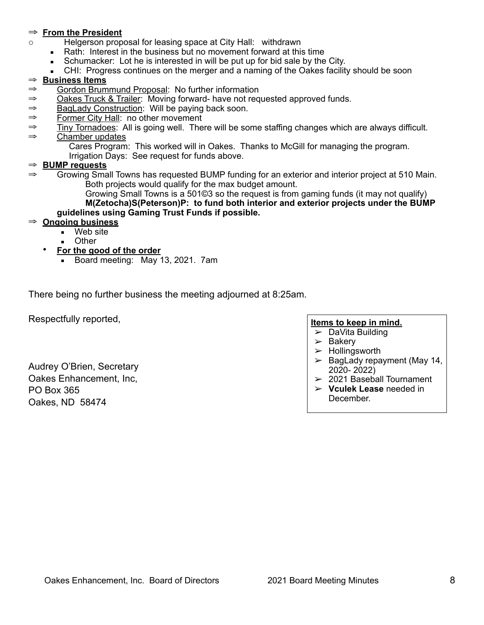### ⇒ **From the President**

- o Helgerson proposal for leasing space at City Hall: withdrawn
	- Rath: Interest in the business but no movement forward at this time
	- Schumacker: Lot he is interested in will be put up for bid sale by the City.
	- CHI: Progress continues on the merger and a naming of the Oakes facility should be soon

### ⇒ **Business Items**

- ⇒ Gordon Brummund Proposal: No further information
- ⇒ Oakes Truck & Trailer: Moving forward- have not requested approved funds.
- ⇒ BagLady Construction: Will be paying back soon.
- ⇒ Former City Hall: no other movement
- ⇒ Tiny Tornadoes: All is going well. There will be some staffing changes which are always difficult.
- ⇒ Chamber updates

Cares Program: This worked will in Oakes. Thanks to McGill for managing the program.

Irrigation Days: See request for funds above.

### ⇒ **BUMP requests**

⇒ Growing Small Towns has requested BUMP funding for an exterior and interior project at 510 Main. Both projects would qualify for the max budget amount.

Growing Small Towns is a 501©3 so the request is from gaming funds (it may not qualify) **M(Zetocha)S(Peterson)P: to fund both interior and exterior projects under the BUMP guidelines using Gaming Trust Funds if possible.** 

### ⇒ **Ongoing business**

- Web site
- **D**ther
- **For the good of the order**
	- **Board meeting: May 13, 2021. 7am**

There being no further business the meeting adjourned at 8:25am.

Respectfully reported,

Audrey O'Brien, Secretary Oakes Enhancement, Inc, PO Box 365 Oakes, ND 58474

#### **Items to keep in mind.**

- $\triangleright$  DaVita Building
- $\geq$  Bakery
- $\blacktriangleright$  Hollingsworth
- $\geq$  BagLady repayment (May 14, 2020- 2022)
- $\geq$  2021 Baseball Tournament
- ➢ **Vculek Lease** needed in December.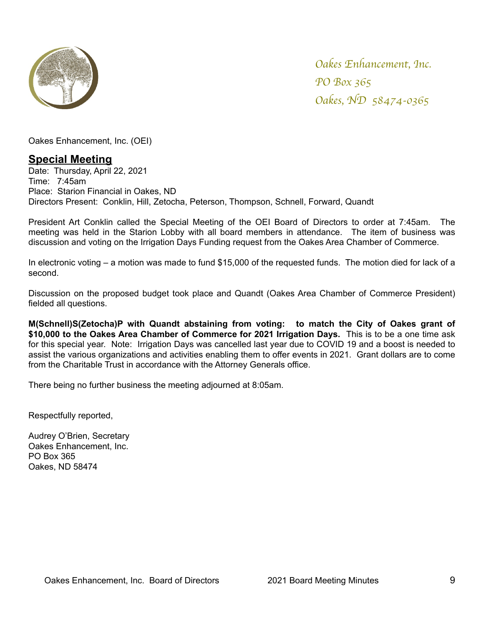

Oakes Enhancement, Inc. (OEI)

# **Special Meeting**

Date: Thursday, April 22, 2021 Time: 7:45am Place: Starion Financial in Oakes, ND Directors Present: Conklin, Hill, Zetocha, Peterson, Thompson, Schnell, Forward, Quandt

President Art Conklin called the Special Meeting of the OEI Board of Directors to order at 7:45am. The meeting was held in the Starion Lobby with all board members in attendance. The item of business was discussion and voting on the Irrigation Days Funding request from the Oakes Area Chamber of Commerce.

In electronic voting – a motion was made to fund \$15,000 of the requested funds. The motion died for lack of a second.

Discussion on the proposed budget took place and Quandt (Oakes Area Chamber of Commerce President) fielded all questions.

**M(Schnell)S(Zetocha)P with Quandt abstaining from voting: to match the City of Oakes grant of \$10,000 to the Oakes Area Chamber of Commerce for 2021 Irrigation Days.** This is to be a one time ask for this special year. Note: Irrigation Days was cancelled last year due to COVID 19 and a boost is needed to assist the various organizations and activities enabling them to offer events in 2021. Grant dollars are to come from the Charitable Trust in accordance with the Attorney Generals office.

There being no further business the meeting adjourned at 8:05am.

Respectfully reported,

Audrey O'Brien, Secretary Oakes Enhancement, Inc. PO Box 365 Oakes, ND 58474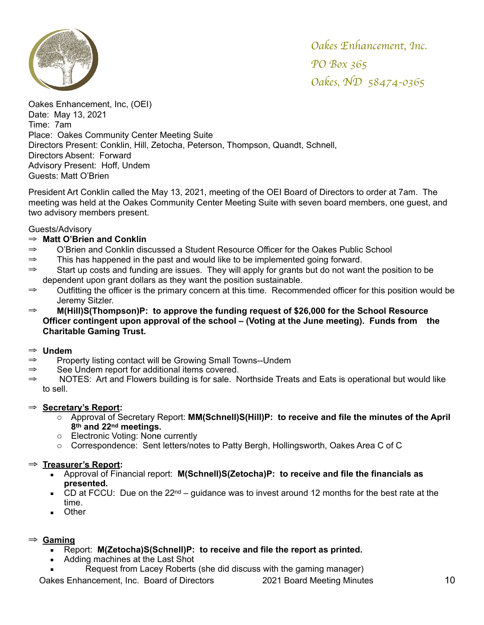

Oakes Enhancement, Inc, (OEI) Date: May 13, 2021 Time: 7am Place: Oakes Community Center Meeting Suite Directors Present: Conklin, Hill, Zetocha, Peterson, Thompson, Quandt, Schnell, Directors Absent: Forward Advisory Present: Hoff, Undem Guests: Matt O'Brien

President Art Conklin called the May 13, 2021, meeting of the OEI Board of Directors to order at 7am. The meeting was held at the Oakes Community Center Meeting Suite with seven board members, one guest, and two advisory members present.

### Guests/Advisory

## ⇒ **Matt O'Brien and Conklin**

- ⇒ O'Brien and Conklin discussed a Student Resource Officer for the Oakes Public School
- $\Rightarrow$  This has happened in the past and would like to be implemented going forward.
- $\Rightarrow$  Start up costs and funding are issues. They will apply for grants but do not want the position to be dependent upon grant dollars as they want the position sustainable.
- ⇒ Outfitting the officer is the primary concern at this time. Recommended officer for this position would be Jeremy Sitzler.
- ⇒ **M(Hill)S(Thompson)P: to approve the funding request of \$26,000 for the School Resource Officer contingent upon approval of the school – (Voting at the June meeting). Funds from the Charitable Gaming Trust.**

### ⇒ **Undem**

- ⇒ Property listing contact will be Growing Small Towns--Undem
- ⇒ See Undem report for additional items covered.
- NOTES: Art and Flowers building is for sale. Northside Treats and Eats is operational but would like to sell.

### ⇒ **Secretary's Report:**

- o Approval of Secretary Report: **MM(Schnell)S(Hill)P: to receive and file the minutes of the April 8th and 22nd meetings.**
- o Electronic Voting: None currently
- o Correspondence: Sent letters/notes to Patty Bergh, Hollingsworth, Oakes Area C of C

## ⇒ **Treasurer's Report:**

- Approval of Financial report: **M(Schnell)S(Zetocha)P: to receive and file the financials as presented.**
- **CD at FCCU:** Due on the 22<sup>nd</sup> guidance was to invest around 12 months for the best rate at the time.
- Other

## ⇒ **Gaming**

- Report: **M(Zetocha)S(Schnell)P: to receive and file the report as printed.**
- Adding machines at the Last Shot
- Request from Lacey Roberts (she did discuss with the gaming manager)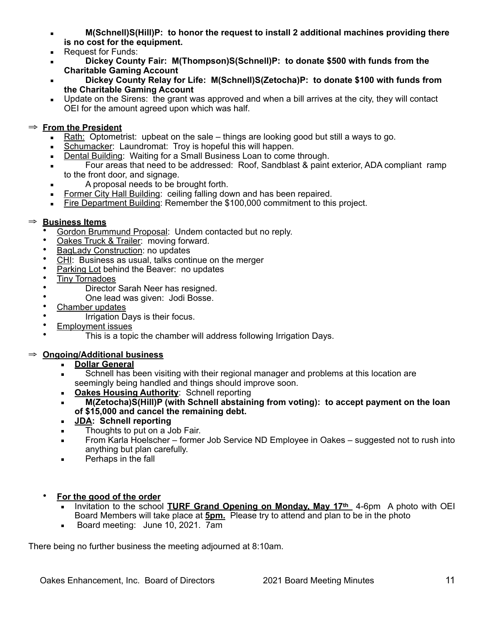- **M(Schnell)S(Hill)P: to honor the request to install 2 additional machines providing there is no cost for the equipment.**
- Request for Funds:
- **Dickey County Fair: M(Thompson)S(Schnell)P: to donate \$500 with funds from the Charitable Gaming Account**
- **Dickey County Relay for Life: M(Schnell)S(Zetocha)P: to donate \$100 with funds from the Charitable Gaming Account**
- Update on the Sirens: the grant was approved and when a bill arrives at the city, they will contact OEI for the amount agreed upon which was half.

## ⇒ **From the President**

- Rath: Optometrist: upbeat on the sale things are looking good but still a ways to go.
- **EXECT:** Laundromat: Troy is hopeful this will happen.
- Dental Building: Waiting for a Small Business Loan to come through.
- **EXECT:** Four areas that need to be addressed: Roof, Sandblast & paint exterior, ADA compliant ramp to the front door, and signage.
- **Example 3** A proposal needs to be brought forth.
- **Eormer City Hall Building: ceiling falling down and has been repaired.**
- Fire Department Building: Remember the \$100,000 commitment to this project.

## ⇒ **Business Items**

- Gordon Brummund Proposal: Undem contacted but no reply.
- Oakes Truck & Trailer: moving forward.
- BagLady Construction: no updates
- CHI: Business as usual, talks continue on the merger
- Parking Lot behind the Beaver: no updates
- Tiny Tornadoes
- Director Sarah Neer has resigned.
- One lead was given: Jodi Bosse.
- Chamber updates
- Irrigation Days is their focus.
- Employment issues
	- This is a topic the chamber will address following Irrigation Days.

## ⇒ **Ongoing/Additional business**

- **Dollar General**
- **EXECT** Schnell has been visiting with their regional manager and problems at this location are seemingly being handled and things should improve soon.
- **EXEDENT CORRES Housing Authority: Schnell reporting**
- **M(Zetocha)S(Hill)P (with Schnell abstaining from voting): to accept payment on the loan of \$15,000 and cancel the remaining debt.**
- **JDA: Schnell reporting**
- **EXECUTE:** Thoughts to put on a Job Fair.
- From Karla Hoelscher former Job Service ND Employee in Oakes suggested not to rush into anything but plan carefully.
- **EXECUTE:** Perhaps in the fall
- **For the good of the order**
	- Invitation to the school **TURF Grand Opening on Monday, May 17th** 4-6pm A photo with OEI Board Members will take place at **5pm.** Please try to attend and plan to be in the photo
	- **Board meeting: June 10, 2021. 7am**

There being no further business the meeting adjourned at 8:10am.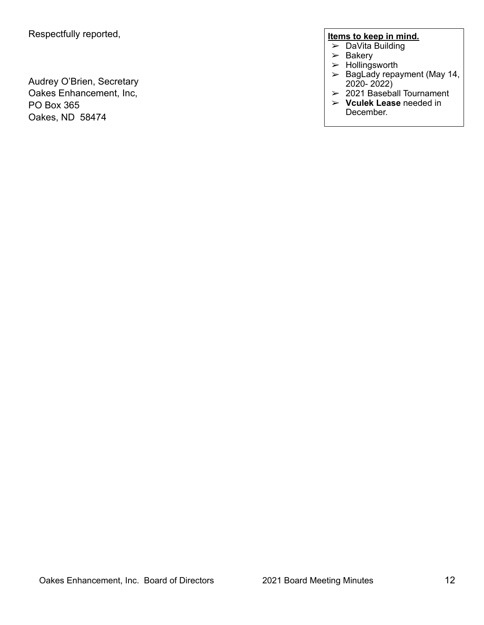Audrey O'Brien, Secretary Oakes Enhancement, Inc, PO Box 365 Oakes, ND 58474

## **Items to keep in mind.**

- ➢ DaVita Building
- $>$  Bakery
- $>$  Hollingsworth
- $\geq$  BagLady repayment (May 14, 2020- 2022)
- $\geq$  2021 Baseball Tournament
- ➢ **Vculek Lease** needed in December.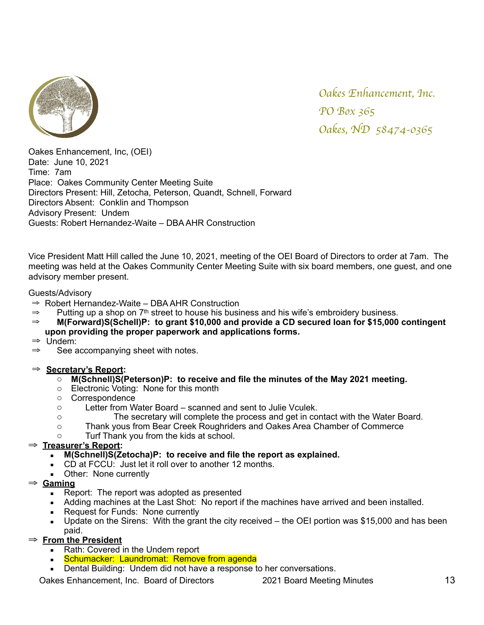

Oakes Enhancement, Inc, (OEI) Date: June 10, 2021 Time: 7am Place: Oakes Community Center Meeting Suite Directors Present: Hill, Zetocha, Peterson, Quandt, Schnell, Forward Directors Absent: Conklin and Thompson Advisory Present: Undem Guests: Robert Hernandez-Waite – DBA AHR Construction

Vice President Matt Hill called the June 10, 2021, meeting of the OEI Board of Directors to order at 7am. The meeting was held at the Oakes Community Center Meeting Suite with six board members, one guest, and one advisory member present.

### Guests/Advisory

- ⇒ Robert Hernandez-Waite DBA AHR Construction
- $\Rightarrow$  Putting up a shop on 7<sup>th</sup> street to house his business and his wife's embroidery business.
- ⇒ **M(Forward)S(Schell)P: to grant \$10,000 and provide a CD secured loan for \$15,000 contingent upon providing the proper paperwork and applications forms.**
- ⇒ Undem:
- ⇒ See accompanying sheet with notes.

### ⇒ **Secretary's Report:**

- o **M(Schnell)S(Peterson)P: to receive and file the minutes of the May 2021 meeting.**
- o Electronic Voting: None for this month
- o Correspondence
- o Letter from Water Board scanned and sent to Julie Vculek.
- o The secretary will complete the process and get in contact with the Water Board.
- o Thank yous from Bear Creek Roughriders and Oakes Area Chamber of Commerce
- o Turf Thank you from the kids at school.

### ⇒ **Treasurer's Report:**

- **M(Schnell)S(Zetocha)P: to receive and file the report as explained.**
- CD at FCCU: Just let it roll over to another 12 months.
- **•** Other: None currently
- ⇒ **Gaming**
	- Report: The report was adopted as presented
	- Adding machines at the Last Shot: No report if the machines have arrived and been installed.
	- Request for Funds: None currently
	- $\blacksquare$  Update on the Sirens: With the grant the city received the OEI portion was \$15,000 and has been paid.

### ⇒ **From the President**

- Rath: Covered in the Undem report
- Schumacker: Laundromat: Remove from agenda
- Dental Building: Undem did not have a response to her conversations.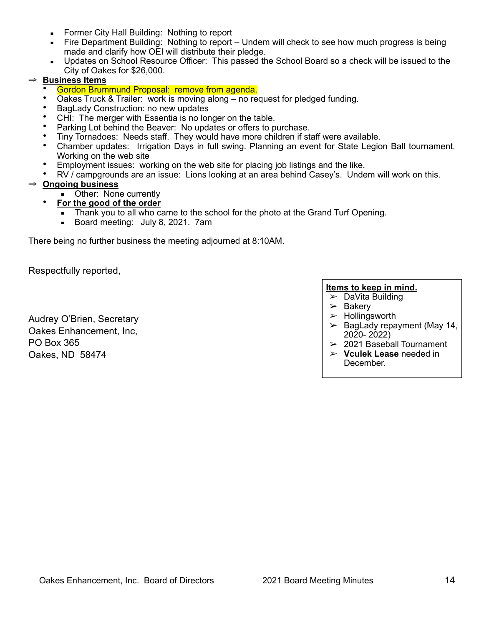- **EXECT:** Former City Hall Building: Nothing to report
- Fire Department Building: Nothing to report Undem will check to see how much progress is being made and clarify how OEI will distribute their pledge.
- Updates on School Resource Officer: This passed the School Board so a check will be issued to the City of Oakes for \$26,000.

## ⇒ **Business Items**

- Gordon Brummund Proposal: remove from agenda.
- Oakes Truck & Trailer: work is moving along no request for pledged funding.
- BagLady Construction: no new updates
- CHI: The merger with Essentia is no longer on the table.
- Parking Lot behind the Beaver: No updates or offers to purchase.
- Tiny Tornadoes: Needs staff. They would have more children if staff were available.
- Chamber updates: Irrigation Days in full swing. Planning an event for State Legion Ball tournament. Working on the web site
- Employment issues: working on the web site for placing job listings and the like.
- RV / campgrounds are an issue: Lions looking at an area behind Casey's. Undem will work on this.

### ⇒ **Ongoing business**

- **•** Other: None currently
- **For the good of the order**
	- **.** Thank you to all who came to the school for the photo at the Grand Turf Opening.
	- **Board meeting: July 8, 2021. 7am**

There being no further business the meeting adjourned at 8:10AM.

Respectfully reported,

## **Items to keep in mind.**

- $\triangleright$  DaVita Building
- $\triangleright$  Bakery
- $>$  Hollingsworth
- $\geq$  BagLady repayment (May 14, 2020- 2022)
- $>$  2021 Baseball Tournament
- ➢ **Vculek Lease** needed in December.

Audrey O'Brien, Secretary Oakes Enhancement, Inc, PO Box 365 Oakes, ND 58474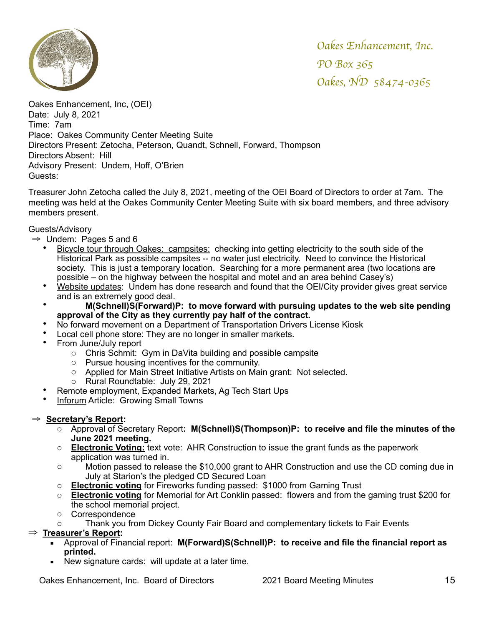

Oakes Enhancement, Inc, (OEI) Date: July 8, 2021 Time: 7am Place: Oakes Community Center Meeting Suite Directors Present: Zetocha, Peterson, Quandt, Schnell, Forward, Thompson Directors Absent: Hill Advisory Present: Undem, Hoff, O'Brien Guests:

Treasurer John Zetocha called the July 8, 2021, meeting of the OEI Board of Directors to order at 7am. The meeting was held at the Oakes Community Center Meeting Suite with six board members, and three advisory members present.

### Guests/Advisory

- $\Rightarrow$  Undem: Pages 5 and 6
	- Bicycle tour through Oakes: campsites: checking into getting electricity to the south side of the Historical Park as possible campsites -- no water just electricity. Need to convince the Historical society. This is just a temporary location. Searching for a more permanent area (two locations are possible – on the highway between the hospital and motel and an area behind Casey's)
	- Website updates: Undem has done research and found that the OEI/City provider gives great service and is an extremely good deal.
		- **M(Schnell)S(Forward)P: to move forward with pursuing updates to the web site pending approval of the City as they currently pay half of the contract.**
	- No forward movement on a Department of Transportation Drivers License Kiosk
	- Local cell phone store: They are no longer in smaller markets.
	- From June/July report
		- o Chris Schmit: Gym in DaVita building and possible campsite
		- o Pursue housing incentives for the community.
		- o Applied for Main Street Initiative Artists on Main grant: Not selected.
		- o Rural Roundtable: July 29, 2021
	- Remote employment, Expanded Markets, Ag Tech Start Ups
	- **Inforum Article: Growing Small Towns**

### ⇒ **Secretary's Report:**

- o Approval of Secretary Report**: M(Schnell)S(Thompson)P: to receive and file the minutes of the June 2021 meeting.**
- o **Electronic Voting:** text vote: AHR Construction to issue the grant funds as the paperwork application was turned in.
- o Motion passed to release the \$10,000 grant to AHR Construction and use the CD coming due in July at Starion's the pledged CD Secured Loan
- o **Electronic voting** for Fireworks funding passed: \$1000 from Gaming Trust
- o **Electronic voting** for Memorial for Art Conklin passed: flowers and from the gaming trust \$200 for the school memorial project.
- o Correspondence
- o Thank you from Dickey County Fair Board and complementary tickets to Fair Events

### ⇒ **Treasurer's Report:**

- Approval of Financial report: **M(Forward)S(Schnell)P: to receive and file the financial report as printed.**
- New signature cards: will update at a later time.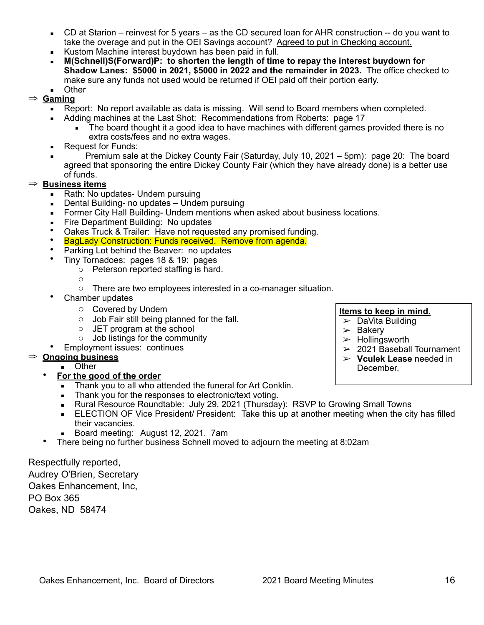- CD at Starion reinvest for 5 years as the CD secured loan for AHR construction -- do you want to take the overage and put in the OEI Savings account? Agreed to put in Checking account.
- Kustom Machine interest buydown has been paid in full.
- **M(Schnell)S(Forward)P: to shorten the length of time to repay the interest buydown for Shadow Lanes: \$5000 in 2021, \$5000 in 2022 and the remainder in 2023.** The office checked to make sure any funds not used would be returned if OEI paid off their portion early.
- **Other**
- ⇒ **Gaming**
	- Report: No report available as data is missing. Will send to Board members when completed.
	- Adding machines at the Last Shot: Recommendations from Roberts: page 17
		- **The board thought it a good idea to have machines with different games provided there is no** extra costs/fees and no extra wages.
	- Request for Funds:
	- Premium sale at the Dickey County Fair (Saturday, July 10, 2021 5pm): page 20: The board agreed that sponsoring the entire Dickey County Fair (which they have already done) is a better use of funds.

## ⇒ **Business items**

- Rath: No updates- Undem pursuing
- Dental Building- no updates Undem pursuing
- **E** Former City Hall Building- Undem mentions when asked about business locations.
- Fire Department Building: No updates
- Oakes Truck & Trailer: Have not requested any promised funding.
- BagLady Construction: Funds received. Remove from agenda.
- Parking Lot behind the Beaver: no updates<br>• Tiny Tornadoes: nages 18.8.19; nages
	- Tiny Tornadoes: pages 18 & 19: pages
		- o Peterson reported staffing is hard.
		- o
		- o There are two employees interested in a co-manager situation.
- Chamber updates
	- o Covered by Undem
	- o Job Fair still being planned for the fall.
	- o JET program at the school
	- o Job listings for the community
- Employment issues: continues

# ⇒ **Ongoing business**

- Other
- **For the good of the order**
	- **EXECT** Thank you to all who attended the funeral for Art Conklin.
	- Thank you for the responses to electronic/text voting.<br>■ Rural Resource Roundtable: July 29, 2021 (Thursday
	- Rural Resource Roundtable: July 29, 2021 (Thursday): RSVP to Growing Small Towns
	- **ELECTION OF Vice President/ President: Take this up at another meeting when the city has filled** their vacancies.
	- Board meeting: August 12, 2021. 7am
- There being no further business Schnell moved to adjourn the meeting at 8:02am

Respectfully reported, Audrey O'Brien, Secretary Oakes Enhancement, Inc, PO Box 365 Oakes, ND 58474

# **Items to keep in mind.**

- $\triangleright$  DaVita Building
- $\geq$  Bakery
- $\triangleright$  Hollingsworth
- $\geq$  2021 Baseball Tournament
- ➢ **Vculek Lease** needed in
	- December.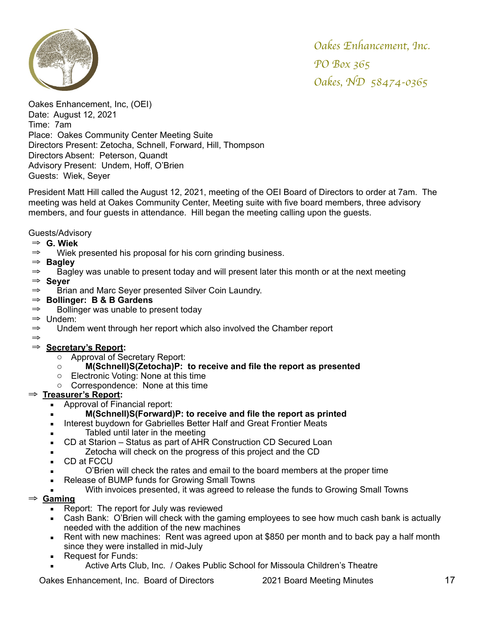

Oakes Enhancement, Inc, (OEI) Date: August 12, 2021 Time: 7am Place: Oakes Community Center Meeting Suite Directors Present: Zetocha, Schnell, Forward, Hill, Thompson Directors Absent: Peterson, Quandt Advisory Present: Undem, Hoff, O'Brien Guests: Wiek, Seyer

President Matt Hill called the August 12, 2021, meeting of the OEI Board of Directors to order at 7am. The meeting was held at Oakes Community Center, Meeting suite with five board members, three advisory members, and four guests in attendance. Hill began the meeting calling upon the guests.

## Guests/Advisory

## ⇒ **G. Wiek**

- ⇒ Wiek presented his proposal for his corn grinding business.
- ⇒ **Bagley**
- $\Rightarrow$  Bagley was unable to present today and will present later this month or at the next meeting
- ⇒ **Seyer**
- ⇒ Brian and Marc Seyer presented Silver Coin Laundry.
- ⇒ **Bollinger: B & B Gardens**
- $\Rightarrow$  Bollinger was unable to present today
- ⇒ Undem:
- ⇒ Undem went through her report which also involved the Chamber report

#### ⇒ ⇒ **Secretary's Report:**

- o Approval of Secretary Report:
- o **M(Schnell)S(Zetocha)P: to receive and file the report as presented**
- o Electronic Voting: None at this time
- o Correspondence: None at this time

## ⇒ **Treasurer's Report:**

- Approval of Financial report:
	- **M(Schnell)S(Forward)P: to receive and file the report as printed**
- **EXEDED Interest buydown for Gabrielles Better Half and Great Frontier Meats**
- **Tabled until later in the meeting**
- CD at Starion Status as part of AHR Construction CD Secured Loan
- **Example 2** Zetocha will check on the progress of this project and the CD
- CD at FCCU
- O'Brien will check the rates and email to the board members at the proper time
- Release of BUMP funds for Growing Small Towns
- With invoices presented, it was agreed to release the funds to Growing Small Towns

## ⇒ **Gaming**

- **EXEC** Report: The report for July was reviewed
- Cash Bank: O'Brien will check with the gaming employees to see how much cash bank is actually needed with the addition of the new machines
- Rent with new machines: Rent was agreed upon at \$850 per month and to back pay a half month since they were installed in mid-July
- Request for Funds:
- Active Arts Club, Inc. / Oakes Public School for Missoula Children's Theatre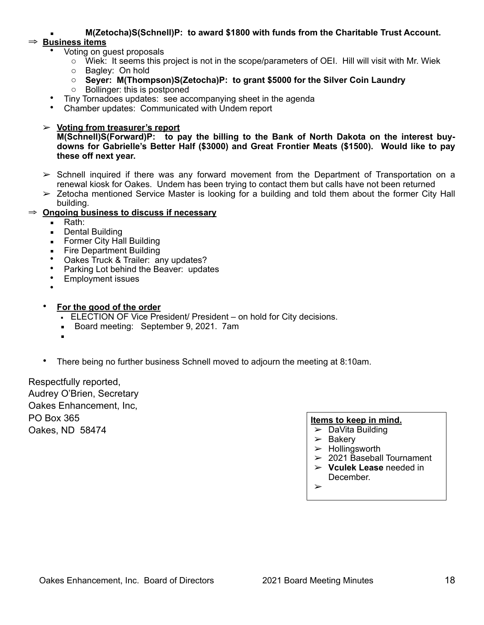▪ **M(Zetocha)S(Schnell)P: to award \$1800 with funds from the Charitable Trust Account.**

## ⇒ **Business items**

- Voting on guest proposals
	- $\circ$  Wiek: It seems this project is not in the scope/parameters of OEI. Hill will visit with Mr. Wiek
	- o Bagley: On hold
	- o **Seyer: M(Thompson)S(Zetocha)P: to grant \$5000 for the Silver Coin Laundry**
	- o Bollinger: this is postponed
- Tiny Tornadoes updates: see accompanying sheet in the agenda
- Chamber updates: Communicated with Undem report

## ➢ **Voting from treasurer's report**

**M(Schnell)S(Forward)P: to pay the billing to the Bank of North Dakota on the interest buydowns for Gabrielle's Better Half (\$3000) and Great Frontier Meats (\$1500). Would like to pay these off next year.** 

- $\geq$  Schnell inquired if there was any forward movement from the Department of Transportation on a renewal kiosk for Oakes. Undem has been trying to contact them but calls have not been returned
- $\geq$  Zetocha mentioned Service Master is looking for a building and told them about the former City Hall building.

## ⇒ **Ongoing business to discuss if necessary**

- Rath:
- Dental Building
- **EXECT:** Former City Hall Building
- **Exercise** Fire Department Building
- Oakes Truck & Trailer: any updates?
- Parking Lot behind the Beaver: updates
- Employment issues
- •
- **For the good of the order**
	- **ELECTION OF Vice President/ President on hold for City decisions.**
	- **Board meeting: September 9, 2021. 7am**
	- ▪
- There being no further business Schnell moved to adjourn the meeting at 8:10am.

Respectfully reported, Audrey O'Brien, Secretary Oakes Enhancement, Inc, PO Box 365 Oakes, ND 58474

### **Items to keep in mind.**

- $\triangleright$  DaVita Building
- $\triangleright$  Bakery
- $>$  Hollingsworth
- $\geq$  2021 Baseball Tournament
- ➢ **Vculek Lease** needed in December.
- ➢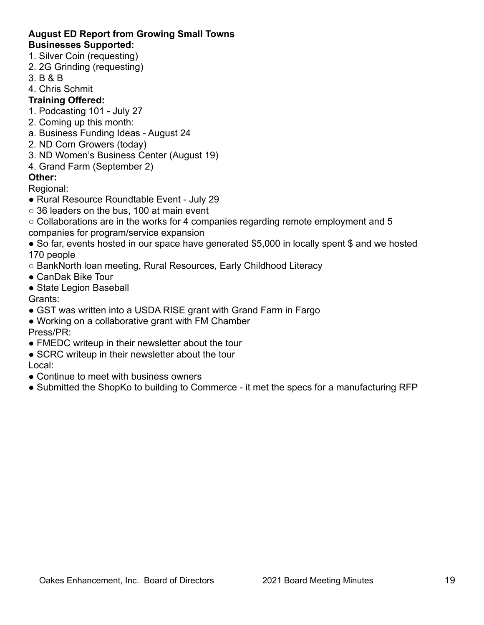### **August ED Report from Growing Small Towns Businesses Supported:**

- 1. Silver Coin (requesting)
- 2. 2G Grinding (requesting)
- 3. B & B
- 4. Chris Schmit

# **Training Offered:**

- 1. Podcasting 101 July 27
- 2. Coming up this month:
- a. Business Funding Ideas August 24
- 2. ND Corn Growers (today)
- 3. ND Women's Business Center (August 19)
- 4. Grand Farm (September 2)

# **Other:**

Regional:

- Rural Resource Roundtable Event July 29
- $\circ$  36 leaders on the bus, 100 at main event
- Collaborations are in the works for 4 companies regarding remote employment and 5 companies for program/service expansion
- So far, events hosted in our space have generated \$5,000 in locally spent \$ and we hosted 170 people
- BankNorth loan meeting, Rural Resources, Early Childhood Literacy
- CanDak Bike Tour
- State Legion Baseball

Grants:

- GST was written into a USDA RISE grant with Grand Farm in Fargo
- Working on a collaborative grant with FM Chamber Press/PR:
- FMEDC writeup in their newsletter about the tour
- SCRC writeup in their newsletter about the tour

# Local:

- Continue to meet with business owners
- Submitted the ShopKo to building to Commerce it met the specs for a manufacturing RFP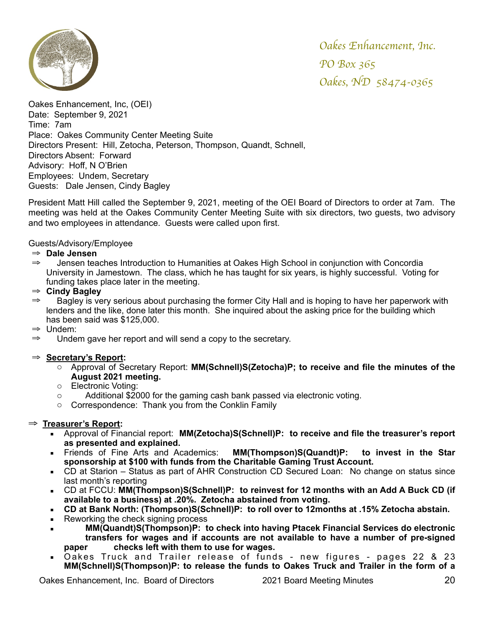

Oakes Enhancement, Inc, (OEI) Date: September 9, 2021 Time: 7am Place: Oakes Community Center Meeting Suite Directors Present: Hill, Zetocha, Peterson, Thompson, Quandt, Schnell, Directors Absent: Forward Advisory: Hoff, N O'Brien Employees: Undem, Secretary Guests: Dale Jensen, Cindy Bagley

President Matt Hill called the September 9, 2021, meeting of the OEI Board of Directors to order at 7am. The meeting was held at the Oakes Community Center Meeting Suite with six directors, two guests, two advisory and two employees in attendance. Guests were called upon first.

Guests/Advisory/Employee

### ⇒ **Dale Jensen**

⇒ Jensen teaches Introduction to Humanities at Oakes High School in conjunction with Concordia University in Jamestown. The class, which he has taught for six years, is highly successful. Voting for funding takes place later in the meeting.

## ⇒ **Cindy Bagley**

- ⇒ Bagley is very serious about purchasing the former City Hall and is hoping to have her paperwork with lenders and the like, done later this month. She inquired about the asking price for the building which has been said was \$125,000.
- ⇒ Undem:
- ⇒ Undem gave her report and will send a copy to the secretary.

## ⇒ **Secretary's Report:**

- o Approval of Secretary Report: **MM(Schnell)S(Zetocha)P; to receive and file the minutes of the August 2021 meeting.**
- o Electronic Voting:
- $\circ$  Additional \$2000 for the gaming cash bank passed via electronic voting.
- o Correspondence: Thank you from the Conklin Family

### ⇒ **Treasurer's Report:**

- Approval of Financial report: **MM(Zetocha)S(Schnell)P: to receive and file the treasurer's report as presented and explained.**
- Friends of Fine Arts and Academics: **MM(Thompson)S(Quandt)P: to invest in the Star sponsorship at \$100 with funds from the Charitable Gaming Trust Account.**
- CD at Starion Status as part of AHR Construction CD Secured Loan: No change on status since last month's reporting
- CD at FCCU: **MM(Thompson)S(Schnell)P: to reinvest for 12 months with an Add A Buck CD (if available to a business) at .20%. Zetocha abstained from voting.**
- **CD at Bank North: (Thompson)S(Schnell)P: to roll over to 12months at .15% Zetocha abstain.**
- Reworking the check signing process
- **MM(Quandt)S(Thompson)P: to check into having Ptacek Financial Services do electronic transfers for wages and if accounts are not available to have a number of pre-signed paper checks left with them to use for wages.**
- Oakes Truck and Trailer release of funds new figures pages 22 & 23 **MM(Schnell)S(Thompson)P: to release the funds to Oakes Truck and Trailer in the form of a**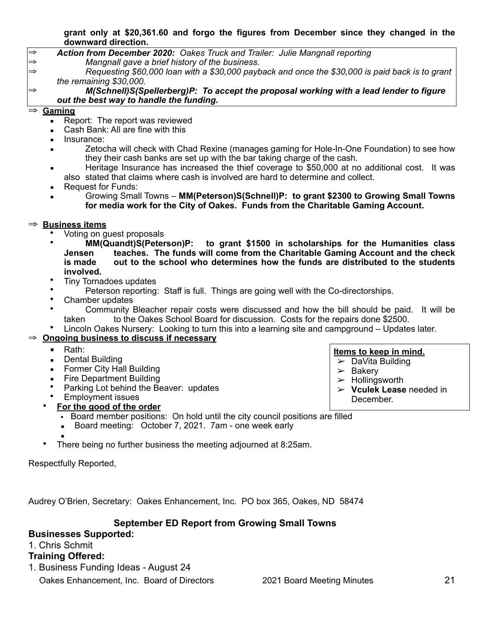### **grant only at \$20,361.60 and forgo the figures from December since they changed in the downward direction.**

⇒ *Action from December 2020: Oakes Truck and Trailer: Julie Mangnall reporting* ⇒ *Mangnall gave a brief history of the business.*

⇒ *Requesting \$60,000 loan with a \$30,000 payback and once the \$30,000 is paid back is to grant the remaining \$30,000.* 

### ⇒ *M(Schnell)S(Spellerberg)P: To accept the proposal working with a lead lender to figure out the best way to handle the funding.*

## ⇒ **Gaming**

- Report: The report was reviewed
- Cash Bank: All are fine with this
- Insurance:
- Zetocha will check with Chad Rexine (manages gaming for Hole-In-One Foundation) to see how they their cash banks are set up with the bar taking charge of the cash.
- **EXECUTE:** Heritage Insurance has increased the thief coverage to \$50,000 at no additional cost. It was also stated that claims where cash is involved are hard to determine and collect.
- Request for Funds:
- Growing Small Towns **MM(Peterson)S(Schnell)P: to grant \$2300 to Growing Small Towns for media work for the City of Oakes. Funds from the Charitable Gaming Account.**

## ⇒ **Business items**

- Voting on guest proposals
- **MM(Quandt)S(Peterson)P: to grant \$1500 in scholarships for the Humanities class Jensen teaches. The funds will come from the Charitable Gaming Account and the check is made out to the school who determines how the funds are distributed to the students involved.**
- Tiny Tornadoes updates
- Peterson reporting: Staff is full. Things are going well with the Co-directorships.<br>• Chamber undates
- Chamber updates
- Community Bleacher repair costs were discussed and how the bill should be paid. It will be taken to the Oakes School Board for discussion. Costs for the repairs done \$2500.
- Lincoln Oakes Nursery: Looking to turn this into a learning site and campground Updates later.

# **Ongoing business to discuss if necessary**

- Rath:
- Dental Building
- **EXECT:** Former City Hall Building
- **Exercise Department Building**
- Parking Lot behind the Beaver: updates
- Employment issues
- **For the good of the order**
	- Board member positions: On hold until the city council positions are filled
	- Board meeting: October 7, 2021. 7am one week early
	- ▪
- There being no further business the meeting adjourned at 8:25am.

Respectfully Reported,

Audrey O'Brien, Secretary: Oakes Enhancement, Inc. PO box 365, Oakes, ND 58474

# **September ED Report from Growing Small Towns**

# **Businesses Supported:**

# 1. Chris Schmit

# **Training Offered:**

1. Business Funding Ideas - August 24

Oakes Enhancement, Inc. Board of Directors 2021 Board Meeting Minutes 21

**Items to keep in mind.**  $\triangleright$  DaVita Building

➢ **Vculek Lease** needed in

 $\geq$  Bakery

 $\blacktriangleright$  Hollingsworth

December.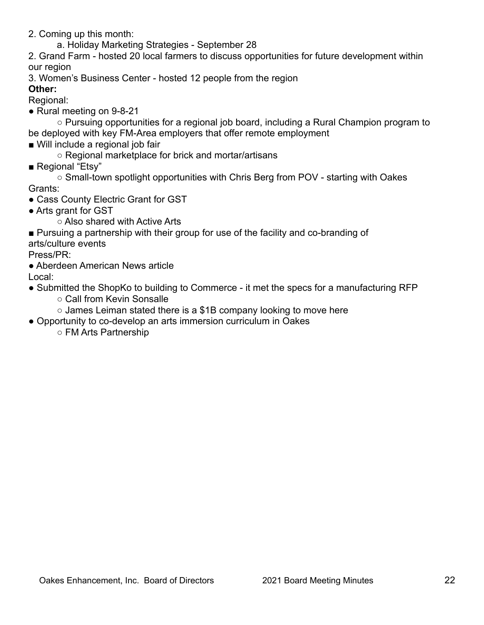2. Coming up this month:

a. Holiday Marketing Strategies - September 28

2. Grand Farm - hosted 20 local farmers to discuss opportunities for future development within our region

3. Women's Business Center - hosted 12 people from the region

# **Other:**

Regional:

● Rural meeting on 9-8-21

○ Pursuing opportunities for a regional job board, including a Rural Champion program to be deployed with key FM-Area employers that offer remote employment

■ Will include a regional job fair

○ Regional marketplace for brick and mortar/artisans

■ Regional "Etsy"

○ Small-town spotlight opportunities with Chris Berg from POV - starting with Oakes Grants:

- Cass County Electric Grant for GST
- Arts grant for GST
	- Also shared with Active Arts

■ Pursuing a partnership with their group for use of the facility and co-branding of

arts/culture events

Press/PR:

● Aberdeen American News article

Local:

- Submitted the ShopKo to building to Commerce it met the specs for a manufacturing RFP
	- Call from Kevin Sonsalle
	- $\circ$  James Leiman stated there is a \$1B company looking to move here
- Opportunity to co-develop an arts immersion curriculum in Oakes
	- FM Arts Partnership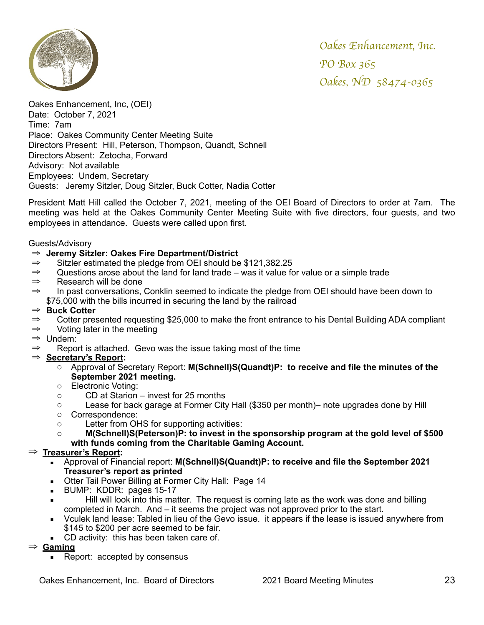

Oakes Enhancement, Inc, (OEI) Date: October 7, 2021 Time: 7am Place: Oakes Community Center Meeting Suite Directors Present: Hill, Peterson, Thompson, Quandt, Schnell Directors Absent: Zetocha, Forward Advisory: Not available Employees: Undem, Secretary Guests: Jeremy Sitzler, Doug Sitzler, Buck Cotter, Nadia Cotter

President Matt Hill called the October 7, 2021, meeting of the OEI Board of Directors to order at 7am. The meeting was held at the Oakes Community Center Meeting Suite with five directors, four guests, and two employees in attendance. Guests were called upon first.

### Guests/Advisory

- ⇒ **Jeremy Sitzler: Oakes Fire Department/District**
- ⇒ Sitzler estimated the pledge from OEI should be \$121,382.25
- ⇒ Questions arose about the land for land trade was it value for value or a simple trade
- ⇒ Research will be done
- ⇒ In past conversations, Conklin seemed to indicate the pledge from OEI should have been down to \$75,000 with the bills incurred in securing the land by the railroad

### ⇒ **Buck Cotter**

- ⇒ Cotter presented requesting \$25,000 to make the front entrance to his Dental Building ADA compliant
- ⇒ Voting later in the meeting
- ⇒ Undem:
- ⇒ Report is attached. Gevo was the issue taking most of the time

### ⇒ **Secretary's Report:**

- o Approval of Secretary Report: **M(Schnell)S(Quandt)P: to receive and file the minutes of the September 2021 meeting.**
- o Electronic Voting:
- o CD at Starion invest for 25 months
- o Lease for back garage at Former City Hall (\$350 per month)– note upgrades done by Hill
- o Correspondence:
- o Letter from OHS for supporting activities:

## o **M(Schnell)S(Peterson)P: to invest in the sponsorship program at the gold level of \$500 with funds coming from the Charitable Gaming Account.**

### ⇒ **Treasurer's Report:**

- Approval of Financial report: **M(Schnell)S(Quandt)P: to receive and file the September 2021 Treasurer's report as printed**
- **Otter Tail Power Billing at Former City Hall: Page 14**
- **BUMP: KDDR: pages 15-17**
- **EXECT** Hill will look into this matter. The request is coming late as the work was done and billing completed in March. And – it seems the project was not approved prior to the start.
- Vculek land lease: Tabled in lieu of the Gevo issue. it appears if the lease is issued anywhere from \$145 to \$200 per acre seemed to be fair.
- CD activity: this has been taken care of.

⇒ **Gaming**

■ Report: accepted by consensus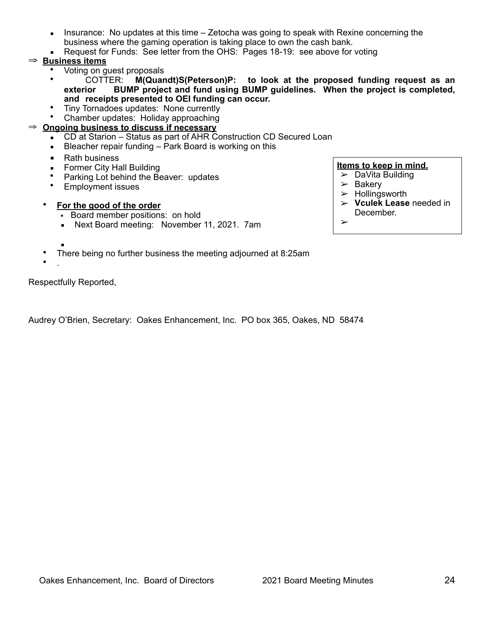- **EXED** Insurance: No updates at this time  $-$  Zetocha was going to speak with Rexine concerning the business where the gaming operation is taking place to own the cash bank.
- Request for Funds: See letter from the OHS: Pages 18-19: see above for voting

## ⇒ **Business items**

- Voting on guest proposals
- COTTER: **M(Quandt)S(Peterson)P: to look at the proposed funding request as an exterior BUMP project and fund using BUMP guidelines. When the project is completed, and receipts presented to OEI funding can occur.**
- Tiny Tornadoes updates: None currently
- Chamber updates: Holiday approaching

## ⇒ **Ongoing business to discuss if necessary**

- CD at Starion Status as part of AHR Construction CD Secured Loan
- **EXECTER FI** Bleacher repair funding Park Board is working on this
- Rath business
- **EXECT:** Former City Hall Building
- Parking Lot behind the Beaver: updates
- Employment issues

## • **For the good of the order**

- Board member positions: on hold
- **EXECT:** Next Board meeting: November 11, 2021. 7am

### **Items to keep in mind.**

- $\triangleright$  DaVita Building
	- $\triangleright$  Bakery
	- ➢ Hollingsworth
	- ➢ **Vculek Lease** needed in December.
	- ➢

- ▪
- There being no further business the meeting adjourned at 8:25am
- $\bullet$

Respectfully Reported,

Audrey O'Brien, Secretary: Oakes Enhancement, Inc. PO box 365, Oakes, ND 58474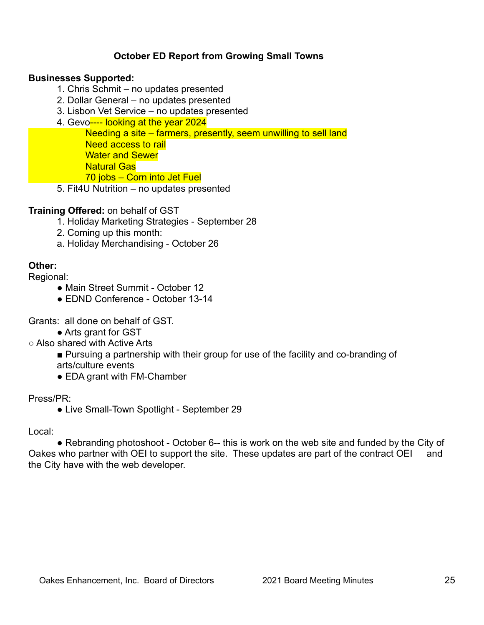# **October ED Report from Growing Small Towns**

## **Businesses Supported:**

- 1. Chris Schmit no updates presented
- 2. Dollar General no updates presented
- 3. Lisbon Vet Service no updates presented
- 4. Gevo---- looking at the year 2024

Needing a site – farmers, presently, seem unwilling to sell land Need access to rail Water and Sewer Natural Gas 70 jobs – Corn into Jet Fuel

5. Fit4U Nutrition – no updates presented

## **Training Offered:** on behalf of GST

- 1. Holiday Marketing Strategies September 28
- 2. Coming up this month:
- a. Holiday Merchandising October 26

# **Other:**

Regional:

- Main Street Summit October 12
- EDND Conference October 13-14

Grants: all done on behalf of GST.

• Arts grant for GST

○ Also shared with Active Arts

- Pursuing a partnership with their group for use of the facility and co-branding of
- arts/culture events
- EDA grant with FM-Chamber

## Press/PR:

• Live Small-Town Spotlight - September 29

## Local:

• Rebranding photoshoot - October 6-- this is work on the web site and funded by the City of Oakes who partner with OEI to support the site. These updates are part of the contract OEI and the City have with the web developer.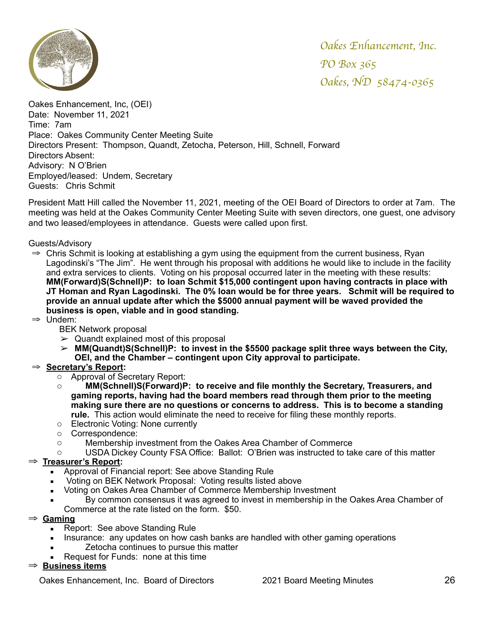

Oakes Enhancement, Inc, (OEI) Date: November 11, 2021 Time: 7am Place: Oakes Community Center Meeting Suite Directors Present: Thompson, Quandt, Zetocha, Peterson, Hill, Schnell, Forward Directors Absent: Advisory: N O'Brien Employed/leased: Undem, Secretary Guests: Chris Schmit

President Matt Hill called the November 11, 2021, meeting of the OEI Board of Directors to order at 7am. The meeting was held at the Oakes Community Center Meeting Suite with seven directors, one guest, one advisory and two leased/employees in attendance. Guests were called upon first.

Guests/Advisory

- $\Rightarrow$  Chris Schmit is looking at establishing a gym using the equipment from the current business, Ryan Lagodinski's "The Jim". He went through his proposal with additions he would like to include in the facility and extra services to clients. Voting on his proposal occurred later in the meeting with these results: **MM(Forward)S(Schnell)P: to loan Schmit \$15,000 contingent upon having contracts in place with JT Homan and Ryan Lagodinski. The 0% loan would be for three years. Schmit will be required to provide an annual update after which the \$5000 annual payment will be waved provided the business is open, viable and in good standing.**
- ⇒ Undem:

BEK Network proposal

- $\geq$  Quandt explained most of this proposal
- ➢ **MM(Quandt)S(Schnell)P: to invest in the \$5500 package split three ways between the City, OEI, and the Chamber – contingent upon City approval to participate.**

## ⇒ **Secretary's Report:**

- o Approval of Secretary Report:
- o **MM(Schnell)S(Forward)P: to receive and file monthly the Secretary, Treasurers, and gaming reports, having had the board members read through them prior to the meeting making sure there are no questions or concerns to address. This is to become a standing rule.** This action would eliminate the need to receive for filing these monthly reports.
- o Electronic Voting: None currently
- o Correspondence:
- o Membership investment from the Oakes Area Chamber of Commerce
- o USDA Dickey County FSA Office: Ballot: O'Brien was instructed to take care of this matter

### ⇒ **Treasurer's Report:**

- Approval of Financial report: See above Standing Rule
- Voting on BEK Network Proposal: Voting results listed above
- **EXECT:** Voting on Oakes Area Chamber of Commerce Membership Investment
- By common consensus it was agreed to invest in membership in the Oakes Area Chamber of Commerce at the rate listed on the form. \$50.

#### ⇒ **Gaming**

- Report: See above Standing Rule
- **EXECT** Insurance: any updates on how cash banks are handled with other gaming operations
- Zetocha continues to pursue this matter
- Request for Funds: none at this time

### ⇒ **Business items**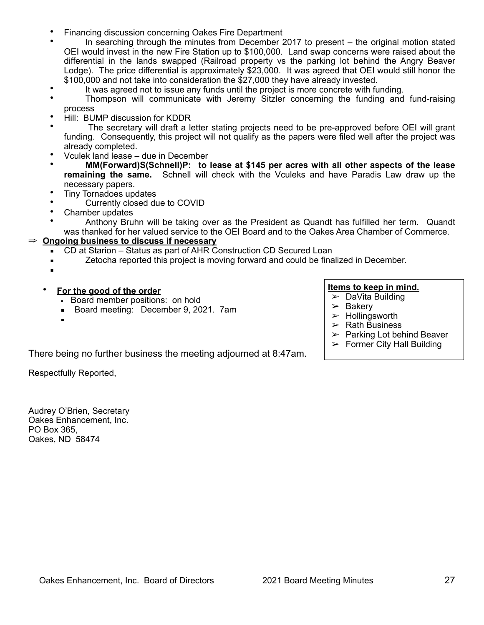- Financing discussion concerning Oakes Fire Department
- In searching through the minutes from December 2017 to present the original motion stated OEI would invest in the new Fire Station up to \$100,000. Land swap concerns were raised about the differential in the lands swapped (Railroad property vs the parking lot behind the Angry Beaver Lodge). The price differential is approximately \$23,000. It was agreed that OEI would still honor the \$100,000 and not take into consideration the \$27,000 they have already invested.
	- It was agreed not to issue any funds until the project is more concrete with funding.
- Thompson will communicate with Jeremy Sitzler concerning the funding and fund-raising process
- Hill: BUMP discussion for KDDR
- The secretary will draft a letter stating projects need to be pre-approved before OEI will grant funding. Consequently, this project will not qualify as the papers were filed well after the project was already completed.
- Vculek land lease due in December
- **MM(Forward)S(Schnell)P: to lease at \$145 per acres with all other aspects of the lease remaining the same.** Schnell will check with the Vculeks and have Paradis Law draw up the necessary papers.
- Tiny Tornadoes updates
- Currently closed due to COVID
- Chamber updates
- Anthony Bruhn will be taking over as the President as Quandt has fulfilled her term. Quandt was thanked for her valued service to the OEI Board and to the Oakes Area Chamber of Commerce.

### ⇒ **Ongoing business to discuss if necessary**

- CD at Starion Status as part of AHR Construction CD Secured Loan
- **EXECT** Zetocha reported this project is moving forward and could be finalized in December.
- ▪
- **For the good of the order**
	- **Board member positions: on hold**
	- **Board meeting: December 9, 2021. 7am**
	- ▪

### **Items to keep in mind.**

- $\triangleright$  DaVita Building
- $\triangleright$  Bakery
- $\blacktriangleright$  Hollingsworth
- $\triangleright$  Rath Business
- $\triangleright$  Parking Lot behind Beaver
- $\triangleright$  Former City Hall Building

There being no further business the meeting adjourned at 8:47am.

Respectfully Reported,

Audrey O'Brien, Secretary Oakes Enhancement, Inc. PO Box 365, Oakes, ND 58474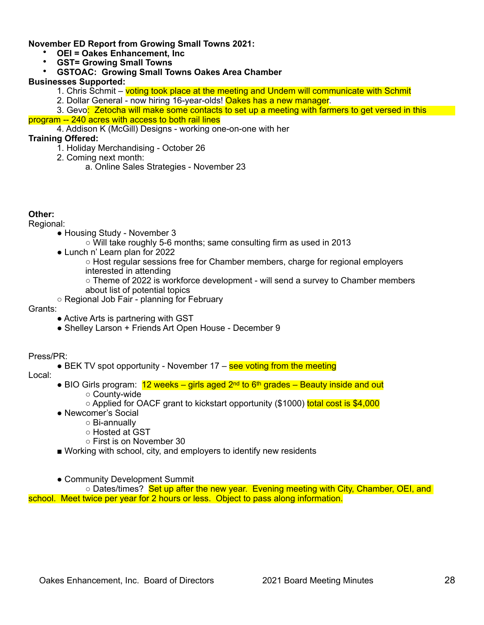### **November ED Report from Growing Small Towns 2021:**

- **OEI = Oakes Enhancement, Inc**
- **GST= Growing Small Towns**
- **GSTOAC: Growing Small Towns Oakes Area Chamber**

### **Businesses Supported:**

- 1. Chris Schmit voting took place at the meeting and Undem will communicate with Schmit
- 2. Dollar General now hiring 16-year-olds! Oakes has a new manager.

3. Gevo: Zetocha will make some contacts to set up a meeting with farmers to get versed in this program -- 240 acres with access to both rail lines

4. Addison K (McGill) Designs - working one-on-one with her

### **Training Offered:**

- 1. Holiday Merchandising October 26
- 2. Coming next month:
	- a. Online Sales Strategies November 23

### **Other:**

Regional:

- Housing Study November 3
	- Will take roughly 5-6 months; same consulting firm as used in 2013
- Lunch n' Learn plan for 2022
	- Host regular sessions free for Chamber members, charge for regional employers interested in attending
	- Theme of 2022 is workforce development will send a survey to Chamber members about list of potential topics
- Regional Job Fair planning for February

### Grants:

- Active Arts is partnering with GST
- Shelley Larson + Friends Art Open House December 9

Press/PR:

- $\bullet$  BEK TV spot opportunity November 17 see voting from the meeting
- Local:
- BIO Girls program:  $12$  weeks girls aged  $2<sup>nd</sup>$  to 6<sup>th</sup> grades Beauty inside and out
	- County-wide
	- Applied for OACF grant to kickstart opportunity (\$1000) total cost is \$4,000
- Newcomer's Social
	- Bi-annually
	- Hosted at GST
	- First is on November 30
- Working with school, city, and employers to identify new residents
- Community Development Summit

○ Dates/times? Set up after the new year. Evening meeting with City, Chamber, OEI, and school. Meet twice per year for 2 hours or less. Object to pass along information.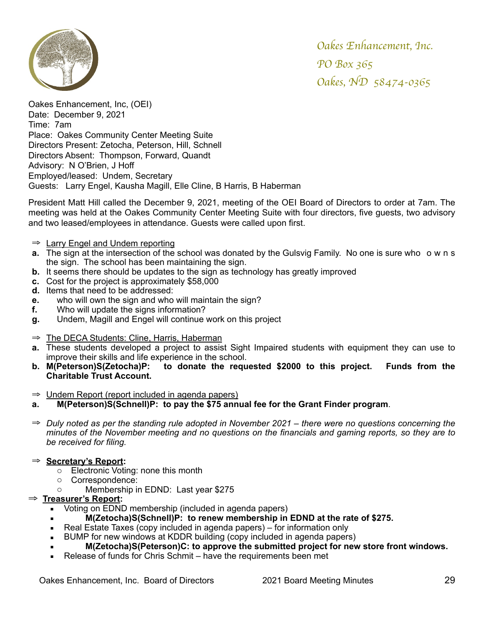

Oakes Enhancement, Inc, (OEI) Date: December 9, 2021 Time: 7am Place: Oakes Community Center Meeting Suite Directors Present: Zetocha, Peterson, Hill, Schnell Directors Absent: Thompson, Forward, Quandt Advisory: N O'Brien, J Hoff Employed/leased: Undem, Secretary Guests: Larry Engel, Kausha Magill, Elle Cline, B Harris, B Haberman

President Matt Hill called the December 9, 2021, meeting of the OEI Board of Directors to order at 7am. The meeting was held at the Oakes Community Center Meeting Suite with four directors, five guests, two advisory and two leased/employees in attendance. Guests were called upon first.

- ⇒ Larry Engel and Undem reporting
- **a.** The sign at the intersection of the school was donated by the Gulsvig Family. No one is sure who owns the sign. The school has been maintaining the sign.
- **b.** It seems there should be updates to the sign as technology has greatly improved
- **c.** Cost for the project is approximately \$58,000
- **d.** Items that need to be addressed:
- **e.** who will own the sign and who will maintain the sign?
- **f.** Who will update the signs information?
- **g.** Undem, Magill and Engel will continue work on this project
- ⇒ The DECA Students: Cline, Harris, Haberman
- **a.** These students developed a project to assist Sight Impaired students with equipment they can use to improve their skills and life experience in the school.
- **b. M(Peterson)S(Zetocha)P: to donate the requested \$2000 to this project. Funds from the Charitable Trust Account.**

⇒ Undem Report (report included in agenda papers)

- **a. M(Peterson)S(Schnell)P: to pay the \$75 annual fee for the Grant Finder program**.
- ⇒ *Duly noted as per the standing rule adopted in November 2021 there were no questions concerning the minutes of the November meeting and no questions on the financials and gaming reports, so they are to be received for filing.*

### ⇒ **Secretary's Report:**

- o Electronic Voting: none this month
- o Correspondence:
- o Membership in EDND: Last year \$275

## ⇒ **Treasurer's Report:**

- Voting on EDND membership (included in agenda papers)
- **M(Zetocha)S(Schnell)P: to renew membership in EDND at the rate of \$275.**
- Real Estate Taxes (copy included in agenda papers) for information only
- BUMP for new windows at KDDR building (copy included in agenda papers)
- **M(Zetocha)S(Peterson)C: to approve the submitted project for new store front windows.**
- Release of funds for Chris Schmit have the requirements been met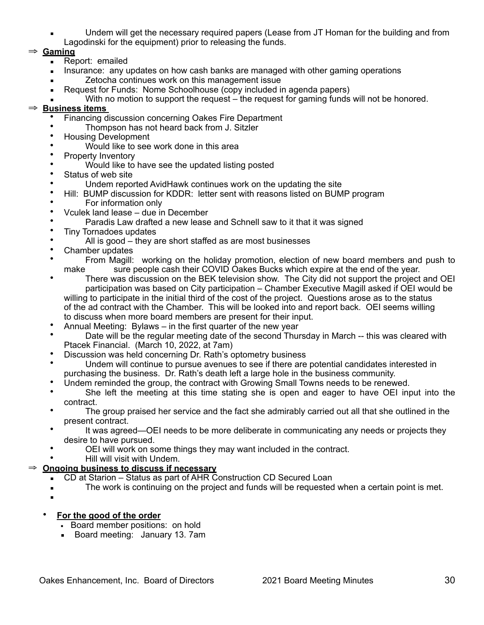Undem will get the necessary required papers (Lease from JT Homan for the building and from Lagodinski for the equipment) prior to releasing the funds.

## ⇒ **Gaming**

- **EXEC** Report: emailed
- **EXECT** Insurance: any updates on how cash banks are managed with other gaming operations
- **Example 2** Zetocha continues work on this management issue
- Request for Funds: Nome Schoolhouse (copy included in agenda papers)
- With no motion to support the request the request for gaming funds will not be honored.

## ⇒ **Business items**

- Financing discussion concerning Oakes Fire Department
- Thompson has not heard back from J. Sitzler
- Housing Development
- Would like to see work done in this area
- Property Inventory
- Would like to have see the updated listing posted
- Status of web site
- Undem reported AvidHawk continues work on the updating the site
- Hill: BUMP discussion for KDDR: letter sent with reasons listed on BUMP program
- For information only
- Vculek land lease due in December
- Paradis Law drafted a new lease and Schnell saw to it that it was signed<br>• Tiny Tornadoes undates
- Tiny Tornadoes updates
- All is good they are short staffed as are most businesses
- Chamber updates<br>• From Magill
- From Magill: working on the holiday promotion, election of new board members and push to make sure people cash their COVID Oakes Bucks which expire at the end of the year.
- There was discussion on the BEK television show. The City did not support the project and OEI participation was based on City participation – Chamber Executive Magill asked if OEI would be willing to participate in the initial third of the cost of the project. Questions arose as to the status of the ad contract with the Chamber. This will be looked into and report back. OEI seems willing to discuss when more board members are present for their input.
- Annual Meeting: Bylaws in the first quarter of the new year
- Date will be the regular meeting date of the second Thursday in March -- this was cleared with Ptacek Financial. (March 10, 2022, at 7am)
- Discussion was held concerning Dr. Rath's optometry business
- Undem will continue to pursue avenues to see if there are potential candidates interested in purchasing the business. Dr. Rath's death left a large hole in the business community.
- Undem reminded the group, the contract with Growing Small Towns needs to be renewed.
- She left the meeting at this time stating she is open and eager to have OEI input into the contract.
- The group praised her service and the fact she admirably carried out all that she outlined in the present contract.
- It was agreed—OEI needs to be more deliberate in communicating any needs or projects they desire to have pursued.
- OEI will work on some things they may want included in the contract.
- Hill will visit with Undem.

## ⇒ **Ongoing business to discuss if necessary**

- CD at Starion Status as part of AHR Construction CD Secured Loan
- **EXECT:** The work is continuing on the project and funds will be requested when a certain point is met.
- ▪

### • **For the good of the order**

- **Board member positions: on hold**
- Board meeting: January 13. 7am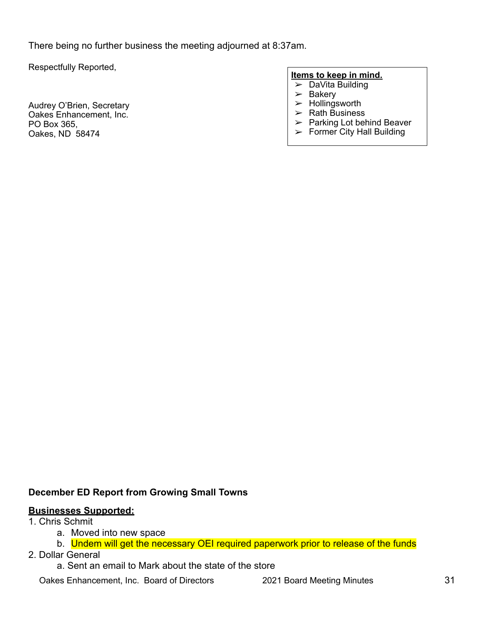There being no further business the meeting adjourned at 8:37am.

Respectfully Reported,

Audrey O'Brien, Secretary Oakes Enhancement, Inc. PO Box 365, Oakes, ND 58474

#### **Items to keep in mind.**

- $\triangleright$  DaVita Building
- $\geq$  Bakery
- $>$  Hollingsworth
- $\triangleright$  Rath Business
- $\triangleright$  Parking Lot behind Beaver
- $\blacktriangleright$  Former City Hall Building

# **December ED Report from Growing Small Towns**

### **Businesses Supported:**

## 1. Chris Schmit

- a. Moved into new space
- b. Undem will get the necessary OEI required paperwork prior to release of the funds
- 2. Dollar General
	- a. Sent an email to Mark about the state of the store